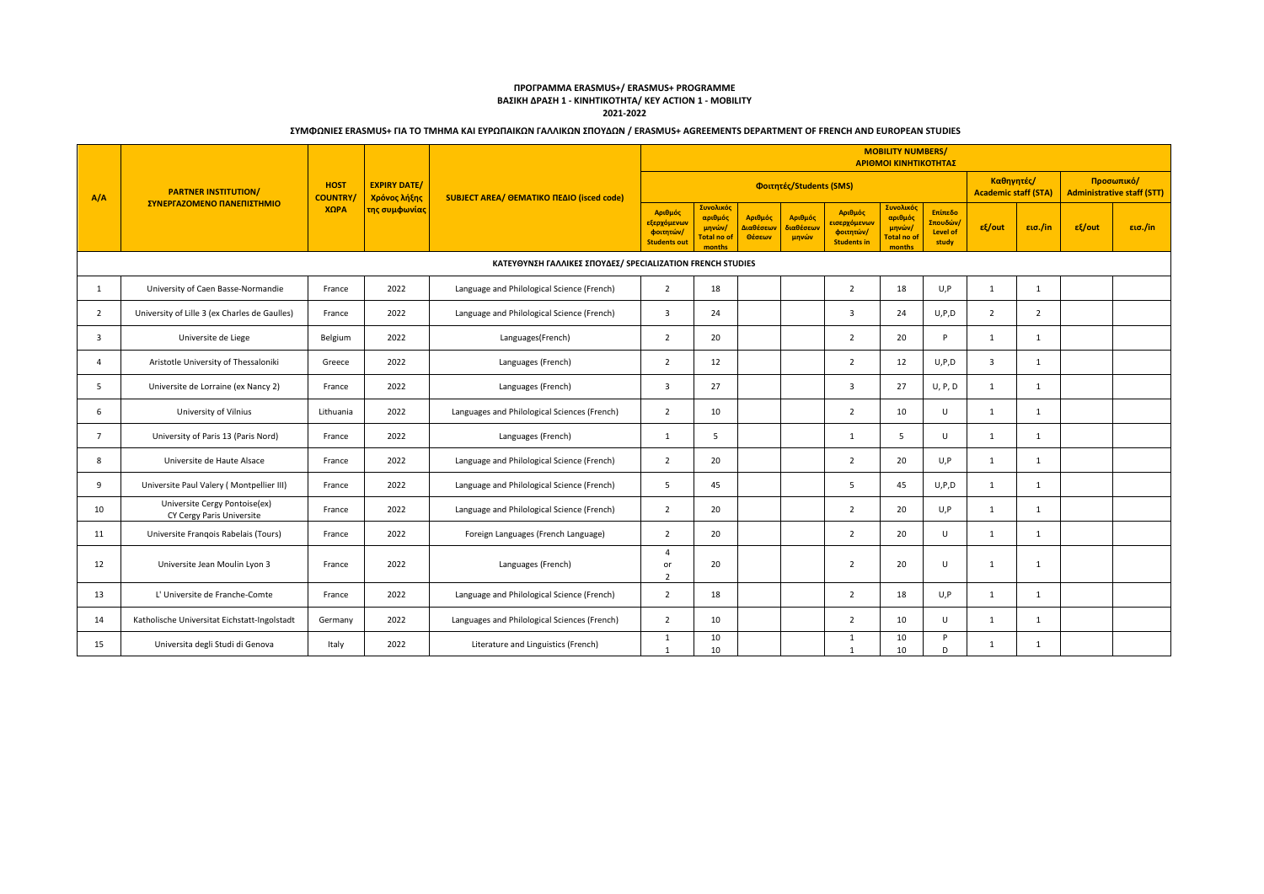## **ΠΡΟΓΡΑΜΜΑ ERASMUS+/ ERASMUS+ PROGRAMME ΒΑΣΙΚΗ ΔΡΑΣΗ 1 - ΚΙΝΗΤΙΚΟΤΗΤΑ/ KEY ACTION 1 - MOBILITY**

**2021-2022**

|                         |                                                            |                               |                                     |                                                            | <b>MOBILITY NUMBERS/</b><br>ΑΡΙΘΜΟΙ ΚΙΝΗΤΙΚΟΤΗΤΑΣ          |                                                                |                                |                               |                                                                          |                                                                |                                                 |                                                 |                |                 |         |
|-------------------------|------------------------------------------------------------|-------------------------------|-------------------------------------|------------------------------------------------------------|------------------------------------------------------------|----------------------------------------------------------------|--------------------------------|-------------------------------|--------------------------------------------------------------------------|----------------------------------------------------------------|-------------------------------------------------|-------------------------------------------------|----------------|-----------------|---------|
| A/A                     | <b>PARTNER INSTITUTION/</b>                                | <b>HOST</b><br><b>COUNTRY</b> | <b>EXPIRY DATE/</b><br>Χρόνος λήξης | SUBJECT AREA/ ΘΕΜΑΤΙΚΟ ΠΕΔΙΟ (isced code)                  | Φοιτητές/Students (SMS)                                    |                                                                |                                |                               | Καθηγητές/<br><b>Academic staff (STA)</b>                                |                                                                |                                                 | Προσωπικό/<br><b>Administrative staff (STT)</b> |                |                 |         |
|                         | ΣΥΝΕΡΓΑΖΟΜΕΝΟ ΠΑΝΕΠΙΣΤΗΜΙΟ                                 | ΧΩРА                          | της συμφωνίας                       |                                                            | Αριθμός<br>εξερχόμενων<br>φοιτητών/<br><b>Students out</b> | Συνολικός<br>αριθμός<br>μηνών/<br><b>Total no of</b><br>months | Αριθμός<br>Διαθέσεων<br>Θέσεων | Αριθμός<br>διαθέσεων<br>μηνών | Αριθμός<br>ε <mark>ισερχόμενων</mark><br>φοιτητών/<br><b>Students in</b> | Συνολικός<br>αριθμός<br>μηνών/<br><b>Total no of</b><br>months | Επίπεδο<br>Σπουδών/<br><b>Level of</b><br>study | $ε$ {/out                                       | εισ./in        | $\epsilon$ /out | εισ./in |
|                         |                                                            |                               |                                     | ΚΑΤΕΥΘΥΝΣΗ ΓΑΛΛΙΚΕΣ ΣΠΟΥΔΕΣ/ SPECIALIZATION FRENCH STUDIES |                                                            |                                                                |                                |                               |                                                                          |                                                                |                                                 |                                                 |                |                 |         |
| 1                       | University of Caen Basse-Normandie                         | France                        | 2022                                | Language and Philological Science (French)                 | $\overline{2}$                                             | 18                                                             |                                |                               | $\overline{2}$                                                           | 18                                                             | U, P                                            | 1                                               | $\mathbf{1}$   |                 |         |
| 2                       | University of Lille 3 (ex Charles de Gaulles)              | France                        | 2022                                | Language and Philological Science (French)                 | 3                                                          | 24                                                             |                                |                               | $\overline{3}$                                                           | 24                                                             | U, P, D                                         | 2                                               | $\overline{2}$ |                 |         |
| $\overline{\mathbf{3}}$ | Universite de Liege                                        | Belgium                       | 2022                                | Languages(French)                                          | $\overline{2}$                                             | 20                                                             |                                |                               | 2                                                                        | 20                                                             | P                                               | 1                                               | $\mathbf{1}$   |                 |         |
| $\overline{a}$          | Aristotle University of Thessaloniki                       | Greece                        | 2022                                | Languages (French)                                         | $\overline{2}$                                             | 12                                                             |                                |                               | $\overline{2}$                                                           | 12                                                             | U, P, D                                         | $\overline{3}$                                  | 1              |                 |         |
| 5                       | Universite de Lorraine (ex Nancy 2)                        | France                        | 2022                                | Languages (French)                                         | 3                                                          | 27                                                             |                                |                               | 3                                                                        | 27                                                             | U, P, D                                         | 1                                               | $\mathbf{1}$   |                 |         |
| -6                      | University of Vilnius                                      | Lithuania                     | 2022                                | Languages and Philological Sciences (French)               | $\overline{2}$                                             | 10                                                             |                                |                               | $\overline{2}$                                                           | 10                                                             | U                                               | 1                                               | $\mathbf{1}$   |                 |         |
| $\overline{7}$          | University of Paris 13 (Paris Nord)                        | France                        | 2022                                | Languages (French)                                         | 1                                                          | 5                                                              |                                |                               | 1                                                                        | 5                                                              | $\cup$                                          | 1                                               | $\overline{1}$ |                 |         |
| 8                       | Universite de Haute Alsace                                 | France                        | 2022                                | Language and Philological Science (French)                 | $\overline{2}$                                             | 20                                                             |                                |                               | $\overline{2}$                                                           | 20                                                             | U, P                                            | 1                                               | $\mathbf{1}$   |                 |         |
| 9                       | Universite Paul Valery (Montpellier III)                   | France                        | 2022                                | Language and Philological Science (French)                 | 5                                                          | 45                                                             |                                |                               | 5                                                                        | 45                                                             | U, P, D                                         | 1                                               | $\mathbf{1}$   |                 |         |
| 10                      | Universite Cergy Pontoise(ex)<br>CY Cergy Paris Universite | France                        | 2022                                | Language and Philological Science (French)                 | $\overline{2}$                                             | 20                                                             |                                |                               | $\overline{2}$                                                           | 20                                                             | U,P                                             | 1                                               | $\mathbf{1}$   |                 |         |
| 11                      | Universite Frangois Rabelais (Tours)                       | France                        | 2022                                | Foreign Languages (French Language)                        | $\overline{2}$                                             | 20                                                             |                                |                               | $\overline{2}$                                                           | 20                                                             | U                                               | 1                                               | 1              |                 |         |
| 12                      | Universite Jean Moulin Lyon 3                              | France                        | 2022                                | Languages (French)                                         | $\overline{4}$<br>or<br>$\overline{\mathbf{c}}$            | 20                                                             |                                |                               | $\overline{2}$                                                           | 20                                                             | U                                               | 1                                               | $\mathbf{1}$   |                 |         |
| 13                      | L' Universite de Franche-Comte                             | France                        | 2022                                | Language and Philological Science (French)                 | $\overline{2}$                                             | 18                                                             |                                |                               | 2                                                                        | 18                                                             | U, P                                            | 1                                               | $\mathbf{1}$   |                 |         |
| 14                      | Katholische Universitat Eichstatt-Ingolstadt               | Germany                       | 2022                                | Languages and Philological Sciences (French)               | $\overline{2}$                                             | 10                                                             |                                |                               | 2                                                                        | 10                                                             | U                                               | 1                                               | $\mathbf{1}$   |                 |         |
| 15                      | Universita degli Studi di Genova                           | Italy                         | 2022                                | Literature and Linguistics (French)                        | $\mathbf{1}$<br>$\overline{1}$                             | 10<br>10                                                       |                                |                               | $\mathbf{1}$<br>$\mathbf{1}$                                             | 10<br>10                                                       | P<br>D                                          | 1                                               | -1             |                 |         |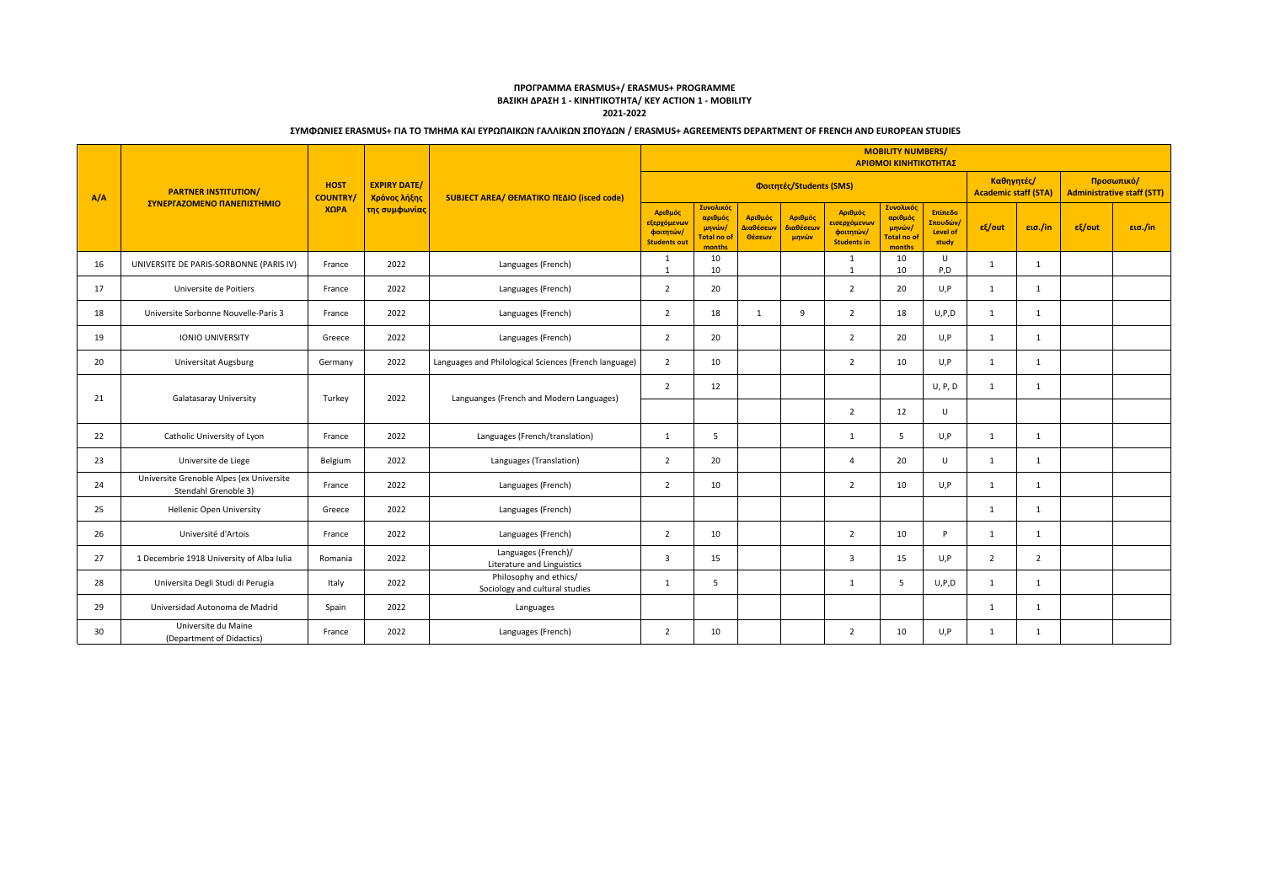### **ΠΡΟΓΡΑΜΜΑ ERASMUS+/ ERASMUS+ PROGRAMME ΒΑΣΙΚΗ ΔΡΑΣΗ 1 - ΚΙΝΗΤΙΚΟΤΗΤΑ/ KEY ACTION 1 - MOBILITY 2021-2022**

|     |                                                                  |                               |                                     |                                                          | <b>MOBILITY NUMBERS/</b><br>ΑΡΙΘΜΟΙ ΚΙΝΗΤΙΚΟΤΗΤΑΣ          |                                                                       |                                |                               |                                                                         |                                                                |                                                 |                                           |                |                                                 |         |
|-----|------------------------------------------------------------------|-------------------------------|-------------------------------------|----------------------------------------------------------|------------------------------------------------------------|-----------------------------------------------------------------------|--------------------------------|-------------------------------|-------------------------------------------------------------------------|----------------------------------------------------------------|-------------------------------------------------|-------------------------------------------|----------------|-------------------------------------------------|---------|
| A/A | <b>PARTNER INSTITUTION/</b>                                      | <b>HOST</b><br><b>COUNTRY</b> | <b>EXPIRY DATE/</b><br>Χρόνος λήξης | SUBJECT AREA/ ΘΕΜΑΤΙΚΟ ΠΕΔΙΟ (isced code)                | Φοιτητές/Students (SMS)                                    |                                                                       |                                |                               |                                                                         |                                                                |                                                 | Καθηγητές/<br><b>Academic staff (STA)</b> |                | Προσωπικό/<br><b>Administrative staff (STT)</b> |         |
|     | ΣΥΝΕΡΓΑΖΟΜΕΝΟ ΠΑΝΕΠΙΣΤΗΜΙΟ                                       | ΧΩРА                          | της συμφωνίας                       |                                                          | Αριθμός<br>εξερχόμενων<br>φοιτητών/<br><b>Students out</b> | <b>Συνολικός</b><br>αριθμός<br>μηνών/<br><b>Total no of</b><br>months | Αριθμός<br>Διαθέσεων<br>Θέσεων | Αριθμός<br>διαθέσεων<br>μηνών | Αριθμός<br><mark>εισερχόμενων</mark><br>φοιτητών/<br><b>Students in</b> | Συνολικός<br>αριθμός<br>μηνών/<br><b>Total no of</b><br>months | Επίπεδο<br>Σπουδών/<br><b>Level of</b><br>study | εξ/out                                    | εισ./in        | $ε$ {/out                                       | εισ./in |
| 16  | UNIVERSITE DE PARIS-SORBONNE (PARIS IV)                          | France                        | 2022                                | Languages (French)                                       | 1<br>$\mathbf{1}$                                          | 10<br>10                                                              |                                |                               | 1<br>$\mathbf{1}$                                                       | 10<br>10                                                       | U<br>P, D                                       | 1                                         | 1              |                                                 |         |
| 17  | Universite de Poitiers                                           | France                        | 2022                                | Languages (French)                                       | $\overline{2}$                                             | 20                                                                    |                                |                               | $\overline{2}$                                                          | 20                                                             | U, P                                            | $\mathbf{1}$                              | 1              |                                                 |         |
| 18  | Universite Sorbonne Nouvelle-Paris 3                             | France                        | 2022                                | Languages (French)                                       | $\overline{2}$                                             | 18                                                                    | $\mathbf{1}$                   | -9                            | 2                                                                       | 18                                                             | U, P, D                                         | $\mathbf{1}$                              | $\mathbf{1}$   |                                                 |         |
| 19  | <b>IONIO UNIVERSITY</b>                                          | Greece                        | 2022                                | Languages (French)                                       | $\overline{2}$                                             | 20                                                                    |                                |                               | $\overline{2}$                                                          | 20                                                             | U, P                                            | 1                                         | 1              |                                                 |         |
| 20  | <b>Universitat Augsburg</b>                                      | Germany                       | 2022                                | Languages and Philological Sciences (French language)    | $\overline{2}$                                             | 10                                                                    |                                |                               | $\overline{2}$                                                          | 10                                                             | U, P                                            | 1                                         | 1              |                                                 |         |
| 21  | Galatasaray University                                           | Turkey                        | 2022                                | Languanges (French and Modern Languages)                 | $\overline{2}$                                             | 12                                                                    |                                |                               |                                                                         |                                                                | U, P, D                                         | $\mathbf{1}$                              | $\mathbf{1}$   |                                                 |         |
|     |                                                                  |                               |                                     |                                                          |                                                            |                                                                       |                                |                               | $\overline{2}$                                                          | 12                                                             | U                                               |                                           |                |                                                 |         |
| 22  | Catholic University of Lyon                                      | France                        | 2022                                | Languages (French/translation)                           | $\mathbf{1}$                                               | 5                                                                     |                                |                               | 1                                                                       | 5                                                              | U.P                                             | 1                                         | 1              |                                                 |         |
| 23  | Universite de Liege                                              | Belgium                       | 2022                                | Languages (Translation)                                  | $\overline{2}$                                             | 20                                                                    |                                |                               | $\Delta$                                                                | 20                                                             | U                                               | $\mathbf{1}$                              | $\mathbf{1}$   |                                                 |         |
| 24  | Universite Grenoble Alpes (ex Universite<br>Stendahl Grenoble 3) | France                        | 2022                                | Languages (French)                                       | $\overline{2}$                                             | 10                                                                    |                                |                               | $\overline{2}$                                                          | 10                                                             | U, P                                            | 1                                         | $\overline{1}$ |                                                 |         |
| 25  | <b>Hellenic Open University</b>                                  | Greece                        | 2022                                | Languages (French)                                       |                                                            |                                                                       |                                |                               |                                                                         |                                                                |                                                 | 1                                         | $\mathbf{1}$   |                                                 |         |
| 26  | Université d'Artois                                              | France                        | 2022                                | Languages (French)                                       | $\overline{2}$                                             | 10                                                                    |                                |                               | $\overline{2}$                                                          | 10                                                             | P                                               | 1                                         | $\mathbf{1}$   |                                                 |         |
| 27  | 1 Decembrie 1918 University of Alba Iulia                        | Romania                       | 2022                                | Languages (French)/<br>Literature and Linguistics        | $\overline{3}$                                             | 15                                                                    |                                |                               | $\overline{3}$                                                          | 15                                                             | U, P                                            | $\overline{2}$                            | $\overline{2}$ |                                                 |         |
| 28  | Universita Degli Studi di Perugia                                | Italy                         | 2022                                | Philosophy and ethics/<br>Sociology and cultural studies | $\mathbf{1}$                                               | 5                                                                     |                                |                               | 1                                                                       | 5                                                              | U, P, D                                         | 1                                         | $\mathbf{1}$   |                                                 |         |
| 29  | Universidad Autonoma de Madrid                                   | Spain                         | 2022                                | Languages                                                |                                                            |                                                                       |                                |                               |                                                                         |                                                                |                                                 | 1                                         | $\overline{1}$ |                                                 |         |
| 30  | Universite du Maine<br>(Department of Didactics)                 | France                        | 2022                                | Languages (French)                                       | $\overline{2}$                                             | 10                                                                    |                                |                               | $\overline{2}$                                                          | 10                                                             | U, P                                            | $\mathbf{1}$                              | $\mathbf{1}$   |                                                 |         |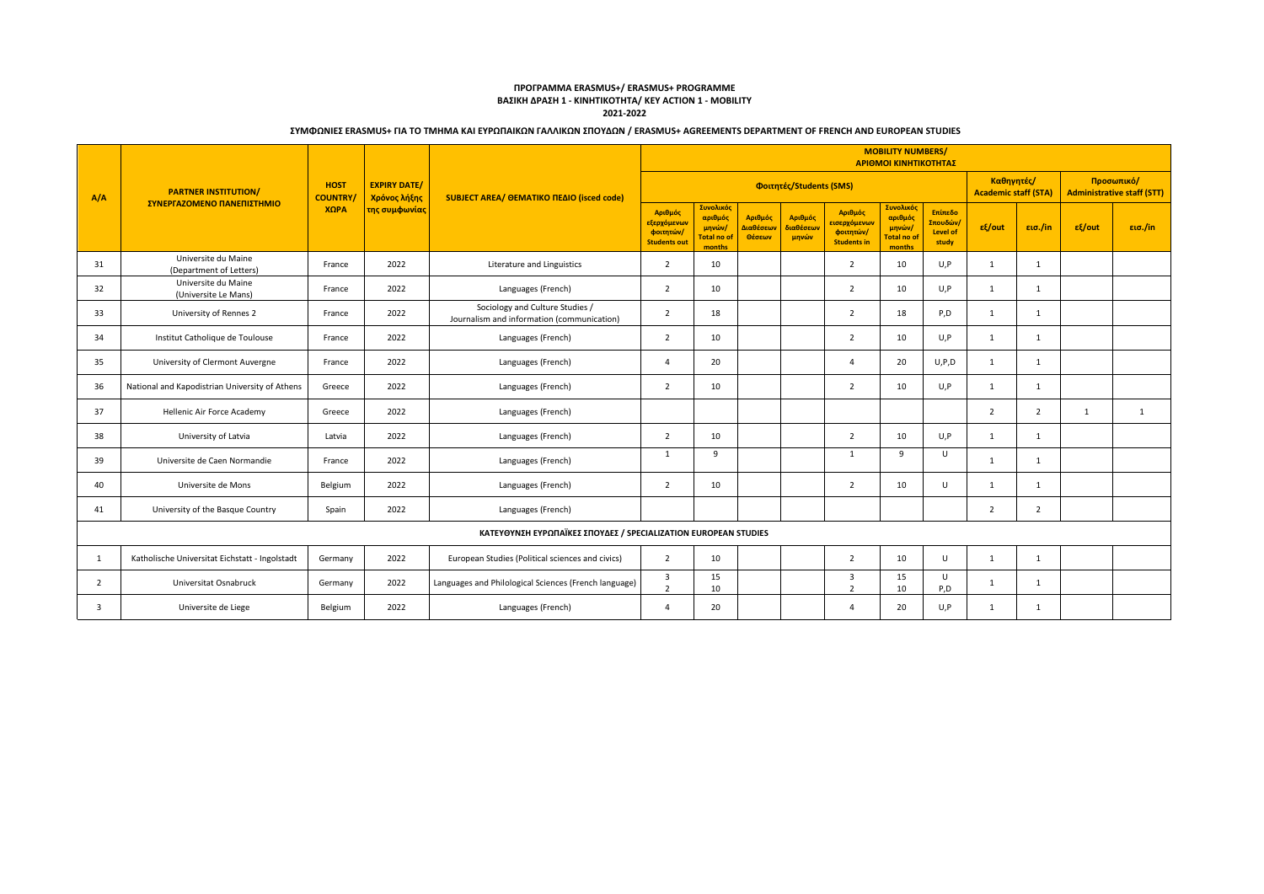### **ΠΡΟΓΡΑΜΜΑ ERASMUS+/ ERASMUS+ PROGRAMME ΒΑΣΙΚΗ ΔΡΑΣΗ 1 - ΚΙΝΗΤΙΚΟΤΗΤΑ/ KEY ACTION 1 - MOBILITY 2021-2022**

|                |                                                                 |                               |                                     |                                                                               | <b>MOBILITY NUMBERS/</b><br>ΑΡΙΘΜΟΙ ΚΙΝΗΤΙΚΟΤΗΤΑΣ                    |                                                               |                                |                               |                                                            |                                                                |                                                 |                                                 |                |              |         |
|----------------|-----------------------------------------------------------------|-------------------------------|-------------------------------------|-------------------------------------------------------------------------------|----------------------------------------------------------------------|---------------------------------------------------------------|--------------------------------|-------------------------------|------------------------------------------------------------|----------------------------------------------------------------|-------------------------------------------------|-------------------------------------------------|----------------|--------------|---------|
| A/A            | <b>PARTNER INSTITUTION/</b>                                     | <b>HOST</b><br><b>COUNTRY</b> | <b>EXPIRY DATE/</b><br>Χρόνος λήξης | SUBJECT AREA/ OEMATIKO NEAIO (isced code)                                     | Καθηγητές/<br>Φοιτητές/Students (SMS)<br><b>Academic staff (STA)</b> |                                                               |                                |                               |                                                            |                                                                |                                                 | Προσωπικό/<br><b>Administrative staff (STT)</b> |                |              |         |
|                | ΣΥΝΕΡΓΑΖΟΜΕΝΟ ΠΑΝΕΠΙΣΤΗΜΙΟ                                      | ΧΩРА                          | της συμφωνίας                       |                                                                               | Αριθμός<br>εξερχόμενων<br>φοιτητών/<br><b>Students out</b>           | <b>Συνολικός</b><br>αριθμός<br>μηνών/<br>otal no of<br>months | Αριθμός<br>Διαθέσεων<br>Θέσεων | Αριθμός<br>διαθέσεων<br>μηνών | Αριθμός<br>εισερχόμενων<br>φοιτητών/<br><b>Students in</b> | Συνολικός<br>αριθμός<br>μηνών/<br><b>Total no of</b><br>months | Επίπεδο<br>Σπουδών)<br><b>Level of</b><br>study | $\epsilon$ /out                                 | εισ./in        | $ε$ {/out    | εισ./in |
| 31             | Universite du Maine<br>(Department of Letters)                  | France                        | 2022                                | Literature and Linguistics                                                    | $\overline{2}$                                                       | 10                                                            |                                |                               | $\overline{2}$                                             | 10                                                             | U, P                                            | 1                                               | 1              |              |         |
| 32             | Universite du Maine<br>(Universite Le Mans)                     | France                        | 2022                                | Languages (French)                                                            | 2                                                                    | 10                                                            |                                |                               | 2                                                          | 10                                                             | U, P                                            | 1                                               | $\mathbf{1}$   |              |         |
| 33             | University of Rennes 2                                          | France                        | 2022                                | Sociology and Culture Studies /<br>Journalism and information (communication) | $\overline{2}$                                                       | 18                                                            |                                |                               | 2                                                          | 18                                                             | P,D                                             | 1                                               | $\mathbf{1}$   |              |         |
| 34             | Institut Catholique de Toulouse                                 | France                        | 2022                                | Languages (French)                                                            | $\overline{2}$                                                       | 10                                                            |                                |                               | $\overline{2}$                                             | 10                                                             | U, P                                            | 1                                               | $\mathbf{1}$   |              |         |
| 35             | University of Clermont Auvergne                                 | France                        | 2022                                | Languages (French)                                                            | 4                                                                    | 20                                                            |                                |                               | $\overline{a}$                                             | 20                                                             | U, P, D                                         | 1                                               | $\overline{1}$ |              |         |
| 36             | National and Kapodistrian University of Athens                  | Greece                        | 2022                                | Languages (French)                                                            | $\overline{2}$                                                       | 10                                                            |                                |                               | $\overline{2}$                                             | 10                                                             | U, P                                            | 1                                               | $\mathbf{1}$   |              |         |
| 37             | Hellenic Air Force Academy                                      | Greece                        | 2022                                | Languages (French)                                                            |                                                                      |                                                               |                                |                               |                                                            |                                                                |                                                 | 2                                               | $\overline{2}$ | $\mathbf{1}$ | 1       |
| 38             | University of Latvia                                            | Latvia                        | 2022                                | Languages (French)                                                            | $\overline{2}$                                                       | 10                                                            |                                |                               | $\overline{2}$                                             | 10                                                             | U, P                                            | 1                                               | 1              |              |         |
| 39             | Universite de Caen Normandie                                    | France                        | 2022                                | Languages (French)                                                            | 1                                                                    | -9                                                            |                                |                               | 1                                                          | 9                                                              | U                                               | 1                                               | $\mathbf{1}$   |              |         |
| 40             | Universite de Mons                                              | Belgium                       | 2022                                | Languages (French)                                                            | 2                                                                    | 10                                                            |                                |                               | $\overline{2}$                                             | 10                                                             | U                                               | 1                                               | $\mathbf{1}$   |              |         |
| 41             | University of the Basque Country                                | Spain                         | 2022                                | Languages (French)                                                            |                                                                      |                                                               |                                |                               |                                                            |                                                                |                                                 | 2                                               | $\overline{2}$ |              |         |
|                | ΚΑΤΕΥΘΥΝΣΗ ΕΥΡΩΠΑΪΚΕΣ ΣΠΟΥΔΕΣ / SPECIALIZATION EUROPEAN STUDIES |                               |                                     |                                                                               |                                                                      |                                                               |                                |                               |                                                            |                                                                |                                                 |                                                 |                |              |         |
| -1             | Katholische Universitat Eichstatt - Ingolstadt                  | Germany                       | 2022                                | European Studies (Political sciences and civics)                              | 2                                                                    | 10                                                            |                                |                               | $\overline{2}$                                             | 10                                                             | $\cup$                                          | 1                                               | $\mathbf{1}$   |              |         |
| $\overline{2}$ | Universitat Osnabruck                                           | Germany                       | 2022                                | Languages and Philological Sciences (French language)                         | $\overline{\mathbf{3}}$<br>$\overline{2}$                            | 15<br>10                                                      |                                |                               | 3<br>$\overline{2}$                                        | 15<br>10                                                       | U<br>P, D                                       | 1                                               | $\mathbf{1}$   |              |         |
| $\mathbf{3}$   | Universite de Liege                                             | Belgium                       | 2022                                | Languages (French)                                                            | 4                                                                    | 20                                                            |                                |                               | 4                                                          | 20                                                             | U,P                                             | $\mathbf{1}$                                    | $\mathbf{1}$   |              |         |